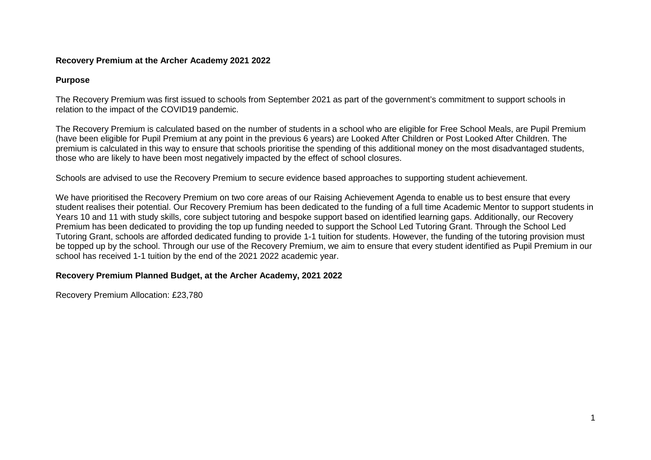## **Recovery Premium at the Archer Academy 2021 2022**

## **Purpose**

The Recovery Premium was first issued to schools from September 2021 as part of the government's commitment to support schools in relation to the impact of the COVID19 pandemic.

The Recovery Premium is calculated based on the number of students in a school who are eligible for Free School Meals, are Pupil Premium (have been eligible for Pupil Premium at any point in the previous 6 years) are Looked After Children or Post Looked After Children. The premium is calculated in this way to ensure that schools prioritise the spending of this additional money on the most disadvantaged students, those who are likely to have been most negatively impacted by the effect of school closures.

Schools are advised to use the Recovery Premium to secure evidence based approaches to supporting student achievement.

We have prioritised the Recovery Premium on two core areas of our Raising Achievement Agenda to enable us to best ensure that every student realises their potential. Our Recovery Premium has been dedicated to the funding of a full time Academic Mentor to support students in Years 10 and 11 with study skills, core subject tutoring and bespoke support based on identified learning gaps. Additionally, our Recovery Premium has been dedicated to providing the top up funding needed to support the School Led Tutoring Grant. Through the School Led Tutoring Grant, schools are afforded dedicated funding to provide 1-1 tuition for students. However, the funding of the tutoring provision must be topped up by the school. Through our use of the Recovery Premium, we aim to ensure that every student identified as Pupil Premium in our school has received 1-1 tuition by the end of the 2021 2022 academic year.

## **Recovery Premium Planned Budget, at the Archer Academy, 2021 2022**

Recovery Premium Allocation: £23,780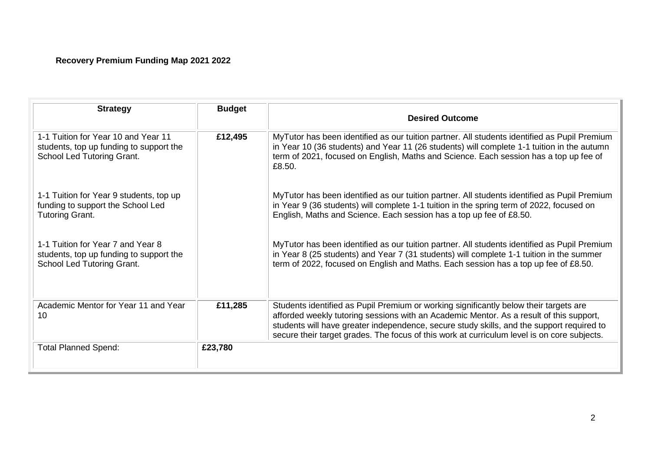## **Recovery Premium Funding Map 2021 2022**

| <b>Strategy</b>                                                                                              | <b>Budget</b> | <b>Desired Outcome</b>                                                                                                                                                                                                                                                                                                                                                       |
|--------------------------------------------------------------------------------------------------------------|---------------|------------------------------------------------------------------------------------------------------------------------------------------------------------------------------------------------------------------------------------------------------------------------------------------------------------------------------------------------------------------------------|
| 1-1 Tuition for Year 10 and Year 11<br>students, top up funding to support the<br>School Led Tutoring Grant. | £12,495       | MyTutor has been identified as our tuition partner. All students identified as Pupil Premium<br>in Year 10 (36 students) and Year 11 (26 students) will complete 1-1 tuition in the autumn<br>term of 2021, focused on English, Maths and Science. Each session has a top up fee of<br>£8.50.                                                                                |
| 1-1 Tuition for Year 9 students, top up<br>funding to support the School Led<br><b>Tutoring Grant.</b>       |               | MyTutor has been identified as our tuition partner. All students identified as Pupil Premium<br>in Year 9 (36 students) will complete 1-1 tuition in the spring term of 2022, focused on<br>English, Maths and Science. Each session has a top up fee of £8.50.                                                                                                              |
| 1-1 Tuition for Year 7 and Year 8<br>students, top up funding to support the<br>School Led Tutoring Grant.   |               | MyTutor has been identified as our tuition partner. All students identified as Pupil Premium<br>in Year 8 (25 students) and Year 7 (31 students) will complete 1-1 tuition in the summer<br>term of 2022, focused on English and Maths. Each session has a top up fee of £8.50.                                                                                              |
| Academic Mentor for Year 11 and Year<br>10                                                                   | £11,285       | Students identified as Pupil Premium or working significantly below their targets are<br>afforded weekly tutoring sessions with an Academic Mentor. As a result of this support,<br>students will have greater independence, secure study skills, and the support required to<br>secure their target grades. The focus of this work at curriculum level is on core subjects. |
| <b>Total Planned Spend:</b>                                                                                  | £23,780       |                                                                                                                                                                                                                                                                                                                                                                              |